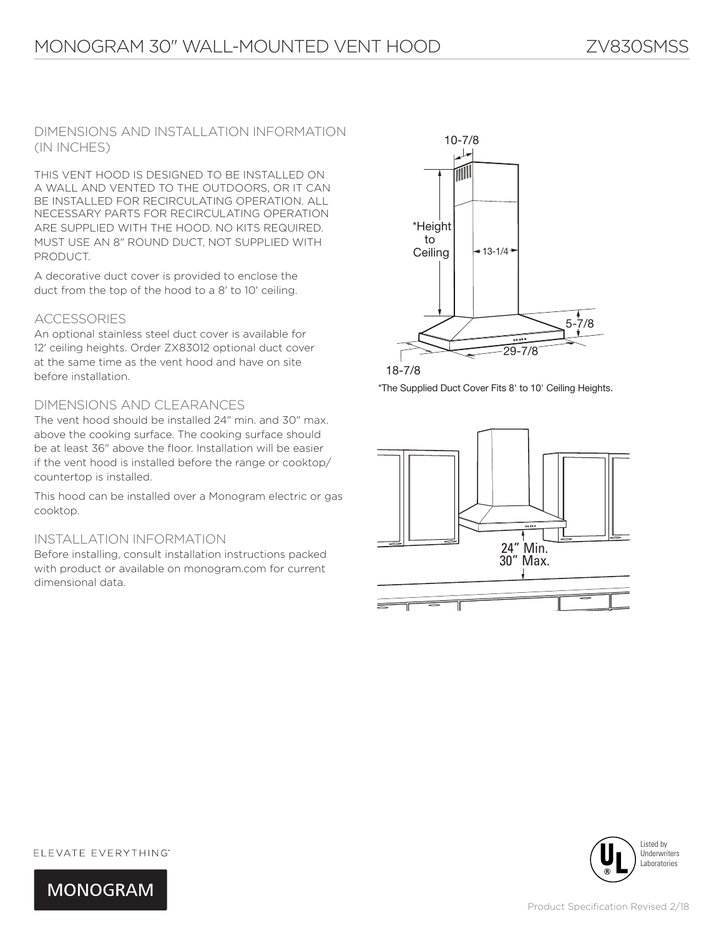DIMENSIONS AND INSTALLATION INFORMATION (IN INCHES)

THIS VENT HOOD IS DESIGNED TO BE INSTALLED ON A WALL AND VENTED TO THE OUTDOORS, OR IT CAN BE INSTALLED FOR RECIRCULATING OPERATION. ALL NECESSARY PARTS FOR RECIRCULATING OPERATION ARE SUPPLIED WITH THE HOOD. NO KITS REQUIRED. MUST USE AN 8" ROUND DUCT, NOT SUPPLIED WITH PRODUCT.

A decorative duct cover is provided to enclose the duct from the top of the hood to a 8' to 10' ceiling.

#### ACCESSORIES

An optional stainless steel duct cover is available for 12' ceiling heights. Order ZX83012 optional duct cover at the same time as the vent hood and have on site before installation.

### DIMENSIONS AND CLEARANCES

The vent hood should be installed 24" min. and 30" max. above the cooking surface. The cooking surface should be at least 36" above the floor. Installation will be easier if the vent hood is installed before the range or cooktop/ countertop is installed.

This hood can be installed over a Monogram electric or gas cooktop.

#### INSTALLATION INFORMATION

Before installing, consult installation instructions packed with product or available on monogram.com for current dimensional data.



\*The Supplied Duct Cover Fits 8' to 10' Ceiling Heights.





ELEVATE EVERYTHING